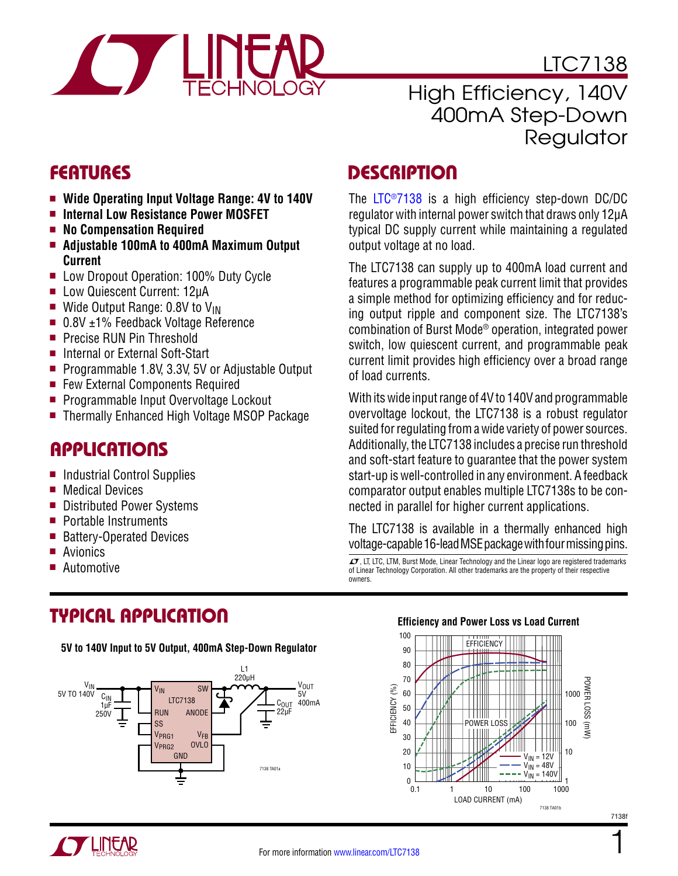

LTC7138

### High Efficiency, 140V 400mA Step-Down **Regulator**

- **n** Wide Operating Input Voltage Range: 4V to 140V
- **E** Internal Low Resistance Power MOSFET
- **n** No Compensation Required
- <sup>n</sup> **Adjustable 100mA to 400mA Maximum Output Current**
- Low Dropout Operation: 100% Duty Cycle
- Low Quiescent Current: 12µA
- Wide Output Range: 0.8V to  $V_{IN}$
- $\blacksquare$  0.8V  $\pm$ 1% Feedback Voltage Reference
- **Precise RUN Pin Threshold**
- Internal or External Soft-Start
- Programmable 1.8V, 3.3V, 5V or Adjustable Output
- Few External Components Required
- **Programmable Input Overvoltage Lockout**
- Thermally Enhanced High Voltage MSOP Package

### **APPLICATIONS**

- Industrial Control Supplies
- $\blacksquare$  Medical Devices
- Distributed Power Systems
- $\blacksquare$  Portable Instruments
- Battery-Operated Devices
- Avionics
- **Automotive**

### FEATURES DESCRIPTION

The [LTC®7138](http://www.linear.com/LTC7138) is a high efficiency step-down DC/DC regulator with internal power switch that draws only 12μA typical DC supply current while maintaining a regulated output voltage at no load.

The LTC7138 can supply up to 400mA load current and features a programmable peak current limit that provides a simple method for optimizing efficiency and for reducing output ripple and component size. The LTC7138's combination of Burst Mode® operation, integrated power switch, low quiescent current, and programmable peak current limit provides high efficiency over a broad range of load currents.

With its wide input range of 4V to 140V and programmable overvoltage lockout, the LTC7138 is a robust regulator suited for regulating from a wide variety of power sources. Additionally, the LTC7138 includes a precise run threshold and soft-start feature to guarantee that the power system start-up is well-controlled in any environment. A feedback comparator output enables multiple LTC7138s to be connected in parallel for higher current applications.

The LTC7138 is available in a thermally enhanced high voltage-capable 16-lead MSE package with four missing pins.

 $LT$ , LT, LTC, LTM, Burst Mode, Linear Technology and the Linear logo are registered trademarks of Linear Technology Corporation. All other trademarks are the property of their respective owners.

# Typical Application

**5V to 140V Input to 5V Output, 400mA Step-Down Regulator**



#### **Efficiency and Power Loss vs Load Current**





1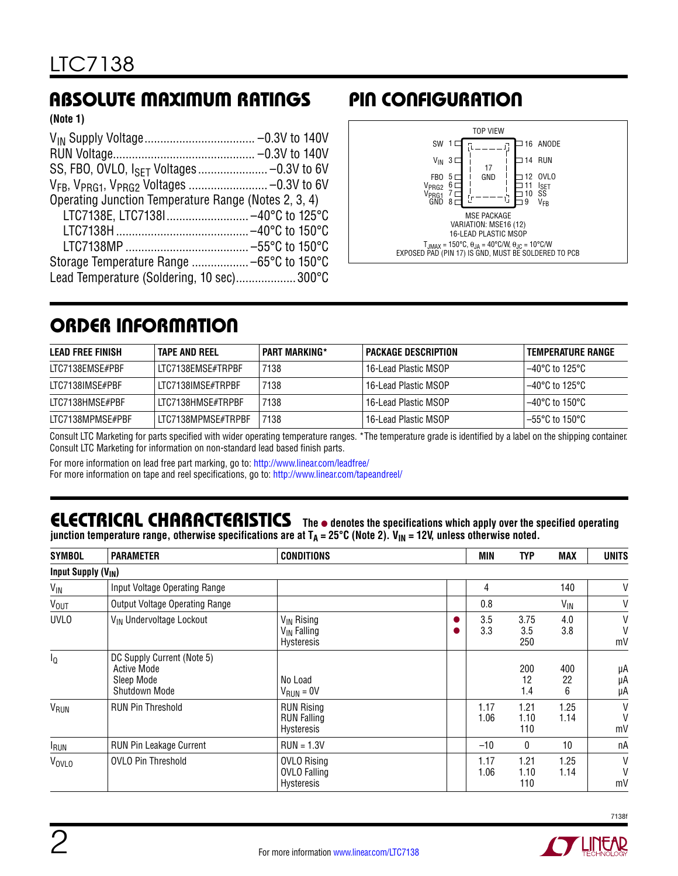# Absolute Maximum Ratings

**(Note 1)**

| Operating Junction Temperature Range (Notes 2, 3, 4) |  |
|------------------------------------------------------|--|
| LTC7138E, LTC7138I -40°C to 125°C                    |  |
|                                                      |  |
|                                                      |  |
|                                                      |  |
| Lead Temperature (Soldering, 10 sec)300°C            |  |

# Pin Configuration



# Order Information

| LEAD FREE FINISH | <b>TAPE AND REEL</b> | <b>PART MARKING*</b> | <b>PACKAGE DESCRIPTION</b> | TEMPERATURE RANGE        |
|------------------|----------------------|----------------------|----------------------------|--------------------------|
| LTC7138EMSE#PBF  | LTC7138EMSE#TRPBF    | 7138                 | 16-Lead Plastic MSOP       | 1–40°C to 125°C          |
| LTC7138IMSE#PBF  | LTC7138IMSE#TRPBF    | 7138                 | 16-Lead Plastic MSOP       | 1–40°C to 125°C          |
| LTC7138HMSE#PBF  | LTC7138HMSE#TRPBF    | 7138                 | 16-Lead Plastic MSOP       | 1−40°C to 150°C          |
| LTC7138MPMSE#PBF | LTC7138MPMSE#TRPBF   | 7138                 | 16-Lead Plastic MSOP       | $-55^{\circ}$ C to 150°C |

Consult LTC Marketing for parts specified with wider operating temperature ranges. \*The temperature grade is identified by a label on the shipping container. Consult LTC Marketing for information on non-standard lead based finish parts.

For more information on lead free part marking, go to: http://www.linear.com/leadfree/

For more information on tape and reel specifications, go to: http://www.linear.com/tapeandreel/

#### ELECTRICAL CHARACTERISTICS The  $\bullet$  denotes the specifications which apply over the specified operating junction temperature range, otherwise specifications are at T<sub>A</sub> = 25°C (Note 2). V<sub>IN</sub> = 12V, unless otherwise noted.

| <b>SYMBOL</b>                        | <b>PARAMETER</b>                                                                       | <b>CONDITIONS</b>                                                      |   | MIN          | <b>TYP</b>          | <b>MAX</b>     | <b>UNITS</b>   |
|--------------------------------------|----------------------------------------------------------------------------------------|------------------------------------------------------------------------|---|--------------|---------------------|----------------|----------------|
| <b>Input Supply (V<sub>IN</sub>)</b> |                                                                                        |                                                                        |   |              |                     |                |                |
| V <sub>IN</sub>                      | Input Voltage Operating Range                                                          |                                                                        |   | 4            |                     | 140            | V              |
| <b>V<sub>OUT</sub></b>               | <b>Output Voltage Operating Range</b>                                                  |                                                                        |   | 0.8          |                     | $V_{IN}$       | $\mathsf{V}$   |
| <b>UVLO</b>                          | V <sub>IN</sub> Undervoltage Lockout                                                   | V <sub>IN</sub> Rising<br>V <sub>IN</sub> Falling<br><b>Hysteresis</b> | o | 3.5<br>3.3   | 3.75<br>3.5<br>250  | 4.0<br>3.8     | V<br>V<br>mV   |
| $I_{\Omega}$                         | DC Supply Current (Note 5)<br><b>Active Mode</b><br>Sleep Mode<br><b>Shutdown Mode</b> | No Load<br>$V_{RUN} = 0V$                                              |   |              | 200<br>12<br>1.4    | 400<br>22<br>6 | μA<br>μA<br>μA |
| VRUN                                 | <b>RUN Pin Threshold</b>                                                               | <b>RUN Rising</b><br><b>RUN Falling</b><br>Hysteresis                  |   | 1.17<br>1.06 | 1.21<br>1.10<br>110 | 1.25<br>1.14   | V<br>V<br>mV   |
| <b>RUN</b>                           | <b>RUN Pin Leakage Current</b>                                                         | $RUN = 1.3V$                                                           |   | $-10$        | 0                   | 10             | nA             |
| VOVLO                                | <b>OVLO Pin Threshold</b>                                                              | <b>OVLO Rising</b><br><b>OVLO Falling</b><br><b>Hysteresis</b>         |   | 1.17<br>1.06 | 1.21<br>1.10<br>110 | 1.25<br>1.14   | V<br>V<br>mV   |



A Y LIITOR

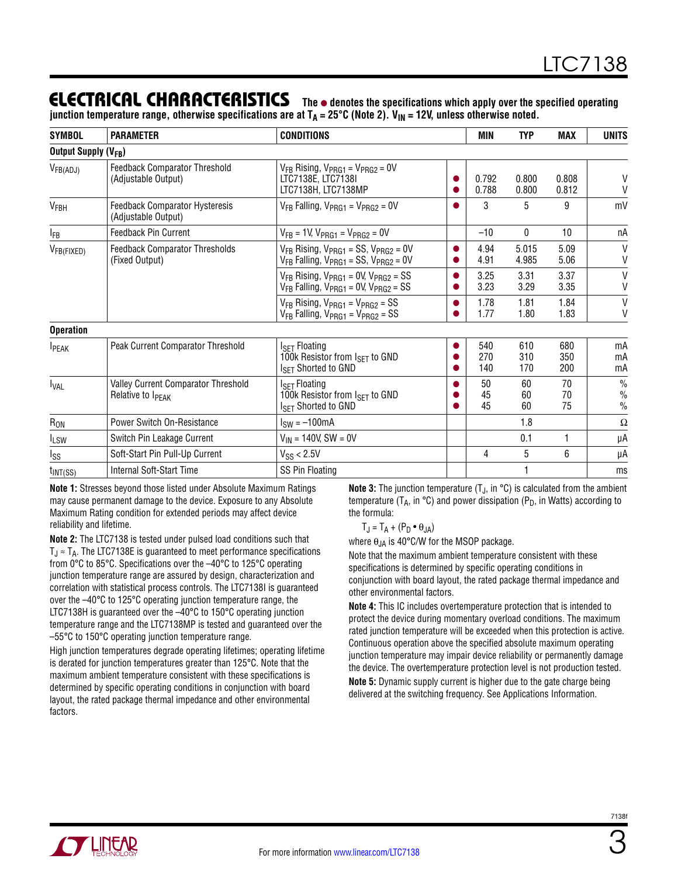### ELECTRICAL CHARACTERISTICS The  $\bullet$  denotes the specifications which apply over the specified operating

junction temperature range, otherwise specifications are at T<sub>A</sub> = 25°C (Note 2). V<sub>IN</sub> = 12V, unless otherwise noted.

| <b>SYMBOL</b>                    | <b>PARAMETER</b>                                                            | <b>CONDITIONS</b>                                                                                       |           | <b>MIN</b>        | <b>TYP</b>        | <b>MAX</b>        | <b>UNITS</b>                           |
|----------------------------------|-----------------------------------------------------------------------------|---------------------------------------------------------------------------------------------------------|-----------|-------------------|-------------------|-------------------|----------------------------------------|
| Output Supply (V <sub>FB</sub> ) |                                                                             |                                                                                                         |           |                   |                   |                   |                                        |
| $V_{FB(ADJ)}$                    | <b>Feedback Comparator Threshold</b><br>(Adjustable Output)                 | $V_{FB}$ Rising, $V_{PRG1}$ = $V_{PRG2}$ = 0V<br>LTC7138E. LTC7138I<br>LTC7138H, LTC7138MP              | O<br>O    | 0.792<br>0.788    | 0.800<br>0.800    | 0.808<br>0.812    | V<br>V                                 |
| V <sub>FBH</sub>                 | <b>Feedback Comparator Hysteresis</b><br>(Adjustable Output)                | $V_{FB}$ Falling, $V_{PRG1} = V_{PRG2} = 0V$                                                            | O         | 3                 | 5                 | 9                 | mV                                     |
| $I_{FB}$                         | <b>Feedback Pin Current</b>                                                 | $V_{FB}$ = 1V, $V_{PRG1}$ = $V_{PRG2}$ = 0V                                                             |           | $-10$             | 0                 | 10                | nA                                     |
| VFB(FIXED)                       | <b>Feedback Comparator Thresholds</b><br>(Fixed Output)                     | $V_{FB}$ Rising, $V_{PRG1}$ = SS, $V_{PRG2}$ = 0V<br>$V_{FB}$ Falling, $V_{PRG1}$ = SS, $V_{PRG2}$ = 0V | O<br>0    | 4.94<br>4.91      | 5.015<br>4.985    | 5.09<br>5.06      | $\mathsf{V}$<br>V                      |
|                                  |                                                                             | $V_{FB}$ Rising, $V_{PRG1}$ = 0V, $V_{PRG2}$ = SS<br>$V_{FB}$ Falling, $V_{PRG1}$ = 0V, $V_{PRG2}$ = SS | $\bullet$ | 3.25<br>3.23      | 3.31<br>3.29      | 3.37<br>3.35      | $\mathsf{V}$<br>V                      |
|                                  |                                                                             | $V_{FB}$ Rising, $V_{PRG1}$ = $V_{PRG2}$ = SS<br>$V_{FB}$ Falling, $V_{PRG1} = V_{PRG2} = SS$           | $\bullet$ | 1.78<br>1.77      | 1.81<br>1.80      | 1.84<br>1.83      | $\mathsf{V}$<br>V                      |
| <b>Operation</b>                 |                                                                             |                                                                                                         |           |                   |                   |                   |                                        |
| <b>IPEAK</b>                     | Peak Current Comparator Threshold                                           | <b>ISET Floating</b><br>100k Resistor from $I_{\text{SET}}$ to GND<br>I <sub>SFT</sub> Shorted to GND   | 0<br>0    | 540<br>270<br>140 | 610<br>310<br>170 | 680<br>350<br>200 | mA<br>mA<br>mA                         |
| <b>IVAL</b>                      | <b>Valley Current Comparator Threshold</b><br>Relative to I <sub>PEAK</sub> | $ISFT$ Floating<br>100k Resistor from I <sub>SET</sub> to GND<br>I <sub>SFT</sub> Shorted to GND        | 0         | 50<br>45<br>45    | 60<br>60<br>60    | 70<br>70<br>75    | $\frac{0}{0}$<br>$\%$<br>$\frac{0}{0}$ |
| R <sub>ON</sub>                  | Power Switch On-Resistance                                                  | $I_{SW} = -100mA$                                                                                       |           |                   | 1.8               |                   | $\Omega$                               |
| <b>ILSW</b>                      | Switch Pin Leakage Current                                                  | $V_{IN}$ = 140V, SW = 0V                                                                                |           |                   | 0.1               | 1                 | μA                                     |
| Iss                              | Soft-Start Pin Pull-Up Current                                              | $V_{SS}$ < 2.5V                                                                                         |           | 4                 | 5                 | 6                 | μA                                     |
| $t_{INT(SS)}$                    | Internal Soft-Start Time                                                    | SS Pin Floating                                                                                         |           |                   |                   |                   | ms                                     |

**Note 1:** Stresses beyond those listed under Absolute Maximum Ratings may cause permanent damage to the device. Exposure to any Absolute Maximum Rating condition for extended periods may affect device reliability and lifetime.

**Note 2:** The LTC7138 is tested under pulsed load conditions such that  $T_{\text{J}} \approx T_A$ . The LTC7138E is guaranteed to meet performance specifications from 0°C to 85°C. Specifications over the –40°C to 125°C operating junction temperature range are assured by design, characterization and correlation with statistical process controls. The LTC7138I is guaranteed over the –40°C to 125°C operating junction temperature range, the LTC7138H is guaranteed over the –40°C to 150°C operating junction temperature range and the LTC7138MP is tested and guaranteed over the –55°C to 150°C operating junction temperature range.

High junction temperatures degrade operating lifetimes; operating lifetime is derated for junction temperatures greater than 125°C. Note that the maximum ambient temperature consistent with these specifications is determined by specific operating conditions in conjunction with board layout, the rated package thermal impedance and other environmental factors.

**Note 3:** The junction temperature (T<sub>J</sub>, in °C) is calculated from the ambient temperature ( $T_A$ , in °C) and power dissipation ( $P_D$ , in Watts) according to the formula:

 $T_J = T_A + (P_D \bullet \theta_{JA})$ 

where  $\theta_{JA}$  is 40°C/W for the MSOP package.

Note that the maximum ambient temperature consistent with these specifications is determined by specific operating conditions in conjunction with board layout, the rated package thermal impedance and other environmental factors.

**Note 4:** This IC includes overtemperature protection that is intended to protect the device during momentary overload conditions. The maximum rated junction temperature will be exceeded when this protection is active. Continuous operation above the specified absolute maximum operating junction temperature may impair device reliability or permanently damage the device. The overtemperature protection level is not production tested.

**Note 5:** Dynamic supply current is higher due to the gate charge being delivered at the switching frequency. See Applications Information.

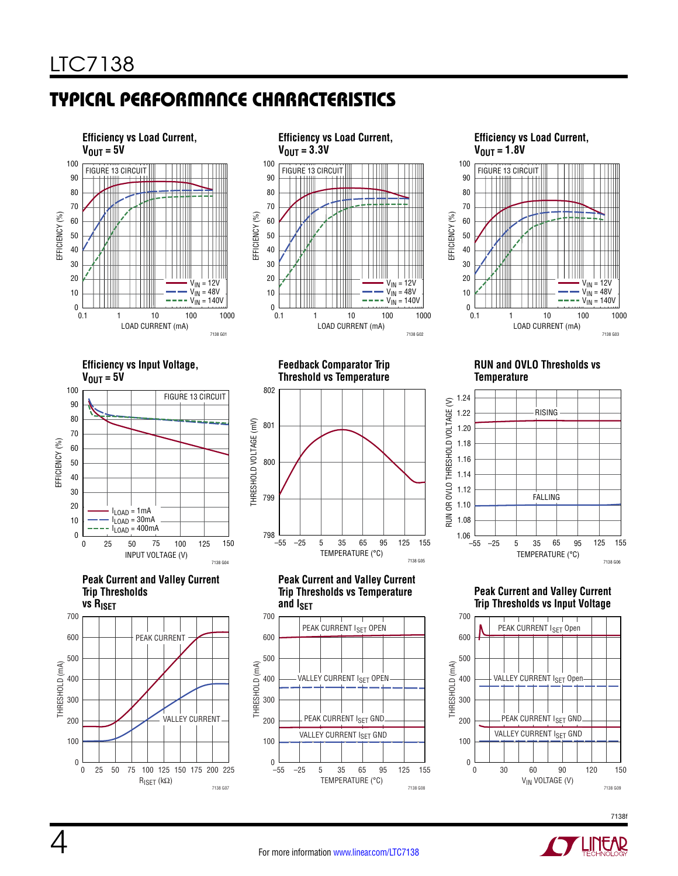# Typical Performance Characteristics

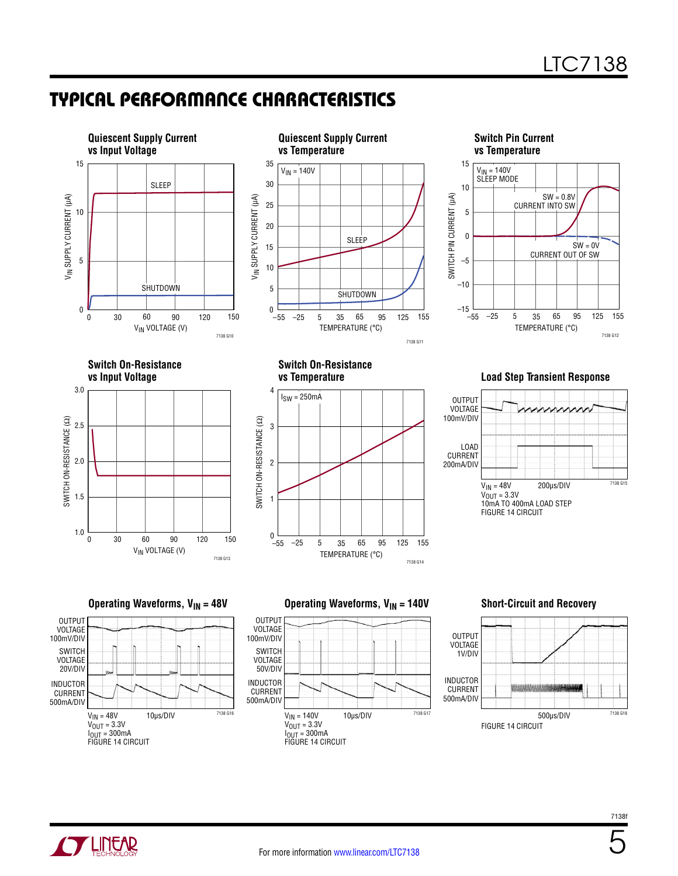### Typical Performance Characteristics











5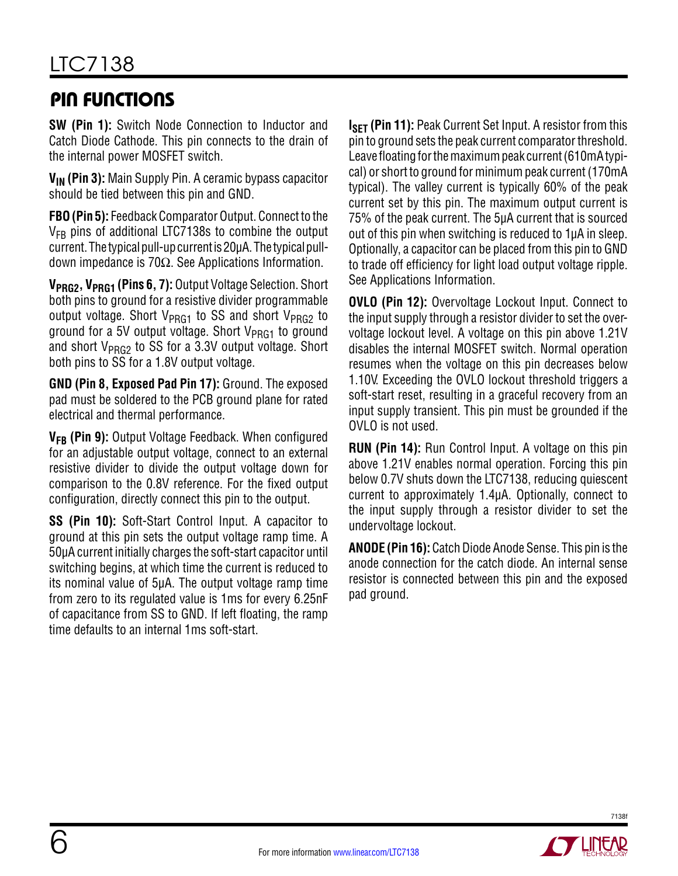## Pin Functions

**SW (Pin 1):** Switch Node Connection to Inductor and Catch Diode Cathode. This pin connects to the drain of the internal power MOSFET switch.

**VIN (Pin 3):** Main Supply Pin. A ceramic bypass capacitor should be tied between this pin and GND.

**FBO (Pin 5):** Feedback Comparator Output. Connect to the  $V_{FR}$  pins of additional LTC7138s to combine the output current. The typical pull-up current is 20µA. The typical pulldown impedance is 70Ω. See Applications Information.

**VPRG2, VPRG1 (Pins 6, 7):** Output Voltage Selection. Short both pins to ground for a resistive divider programmable output voltage. Short  $V_{PRG1}$  to SS and short  $V_{PRG2}$  to ground for a 5V output voltage. Short  $V_{PRG1}$  to ground and short V<sub>PRG2</sub> to SS for a 3.3V output voltage. Short both pins to SS for a 1.8V output voltage.

**GND (Pin 8, Exposed Pad Pin 17):** Ground. The exposed pad must be soldered to the PCB ground plane for rated electrical and thermal performance.

**V<sub>FB</sub>** (Pin 9): Output Voltage Feedback. When configured for an adjustable output voltage, connect to an external resistive divider to divide the output voltage down for comparison to the 0.8V reference. For the fixed output configuration, directly connect this pin to the output.

**SS (Pin 10):** Soft-Start Control Input. A capacitor to ground at this pin sets the output voltage ramp time. A 50µA current initially charges the soft-start capacitor until switching begins, at which time the current is reduced to its nominal value of 5µA. The output voltage ramp time from zero to its regulated value is 1ms for every 6.25nF of capacitance from SS to GND. If left floating, the ramp time defaults to an internal 1ms soft-start.

**ISFT (Pin 11):** Peak Current Set Input. A resistor from this pin to ground sets the peak current comparator threshold. Leave floating for the maximum peak current (610mA typical) or short to ground for minimum peak current (170mA typical). The valley current is typically 60% of the peak current set by this pin. The maximum output current is 75% of the peak current. The 5µA current that is sourced out of this pin when switching is reduced to 1µA in sleep. Optionally, a capacitor can be placed from this pin to GND to trade off efficiency for light load output voltage ripple. See Applications Information.

**OVLO (Pin 12):** Overvoltage Lockout Input. Connect to the input supply through a resistor divider to set the overvoltage lockout level. A voltage on this pin above 1.21V disables the internal MOSFET switch. Normal operation resumes when the voltage on this pin decreases below 1.10V. Exceeding the OVLO lockout threshold triggers a soft-start reset, resulting in a graceful recovery from an input supply transient. This pin must be grounded if the OVLO is not used.

**RUN (Pin 14):** Run Control Input. A voltage on this pin above 1.21V enables normal operation. Forcing this pin below 0.7V shuts down the LTC7138, reducing quiescent current to approximately 1.4µA. Optionally, connect to the input supply through a resistor divider to set the undervoltage lockout.

**ANODE (Pin 16):** Catch Diode Anode Sense. This pin is the anode connection for the catch diode. An internal sense resistor is connected between this pin and the exposed pad ground.

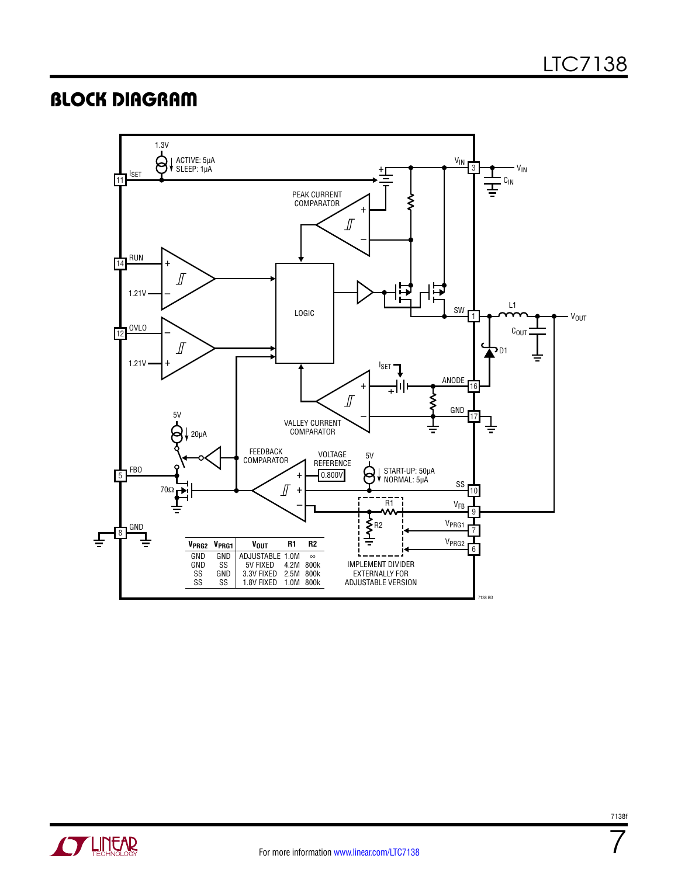### **BLOCK DIAGRAM**





7138f

7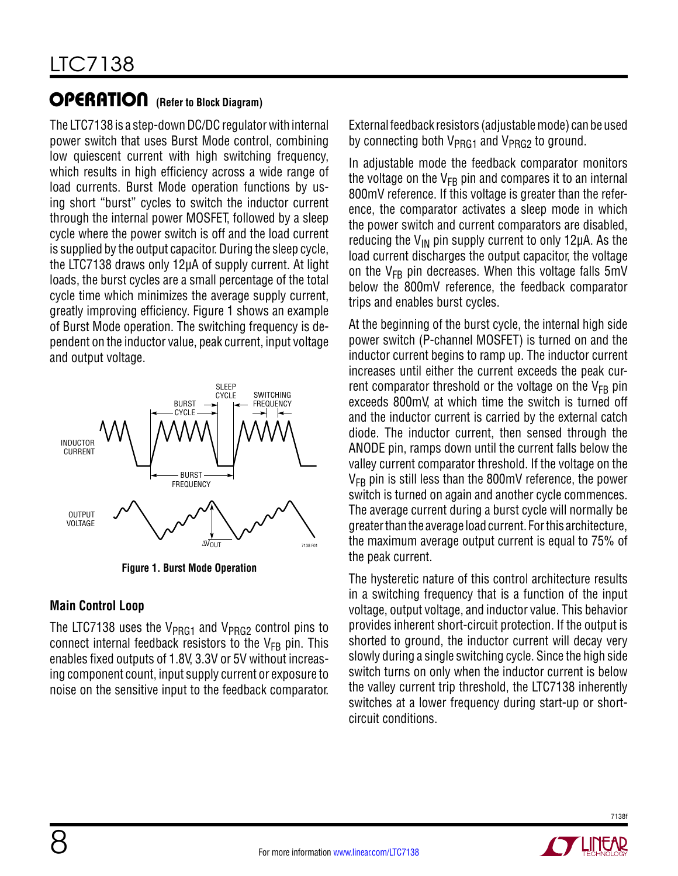### **OPERATION** (Refer to Block Diagram)

The LTC7138 is a step-down DC/DC regulator with internal power switch that uses Burst Mode control, combining low quiescent current with high switching frequency, which results in high efficiency across a wide range of load currents. Burst Mode operation functions by using short "burst" cycles to switch the inductor current through the internal power MOSFET, followed by a sleep cycle where the power switch is off and the load current is supplied by the output capacitor. During the sleep cycle, the LTC7138 draws only 12µA of supply current. At light loads, the burst cycles are a small percentage of the total cycle time which minimizes the average supply current, greatly improving efficiency. Figure 1 shows an example of Burst Mode operation. The switching frequency is dependent on the inductor value, peak current, input voltage and output voltage.



**Figure 1. Burst Mode Operation**

#### **Main Control Loop**

The LTC7138 uses the  $V_{PRG1}$  and  $V_{PRG2}$  control pins to connect internal feedback resistors to the  $V_{FB}$  pin. This enables fixed outputs of 1.8V, 3.3V or 5V without increasing component count, input supply current or exposure to noise on the sensitive input to the feedback comparator. External feedback resistors (adjustable mode) can be used by connecting both  $V_{PRG1}$  and  $V_{PRG2}$  to ground.

In adjustable mode the feedback comparator monitors the voltage on the  $V_{FB}$  pin and compares it to an internal 800mV reference. If this voltage is greater than the reference, the comparator activates a sleep mode in which the power switch and current comparators are disabled, reducing the  $V_{IN}$  pin supply current to only 12 $\mu$ A. As the load current discharges the output capacitor, the voltage on the  $V_{FB}$  pin decreases. When this voltage falls  $5mV$ below the 800mV reference, the feedback comparator trips and enables burst cycles.

At the beginning of the burst cycle, the internal high side power switch (P-channel MOSFET) is turned on and the inductor current begins to ramp up. The inductor current increases until either the current exceeds the peak current comparator threshold or the voltage on the  $V_{FB}$  pin exceeds 800mV, at which time the switch is turned off and the inductor current is carried by the external catch diode. The inductor current, then sensed through the ANODE pin, ramps down until the current falls below the valley current comparator threshold. If the voltage on the  $V_{FB}$  pin is still less than the 800mV reference, the power switch is turned on again and another cycle commences. The average current during a burst cycle will normally be greater than the average load current. For this architecture, the maximum average output current is equal to 75% of the peak current.

The hysteretic nature of this control architecture results in a switching frequency that is a function of the input voltage, output voltage, and inductor value. This behavior provides inherent short-circuit protection. If the output is shorted to ground, the inductor current will decay very slowly during a single switching cycle. Since the high side switch turns on only when the inductor current is below the valley current trip threshold, the LTC7138 inherently switches at a lower frequency during start-up or shortcircuit conditions.

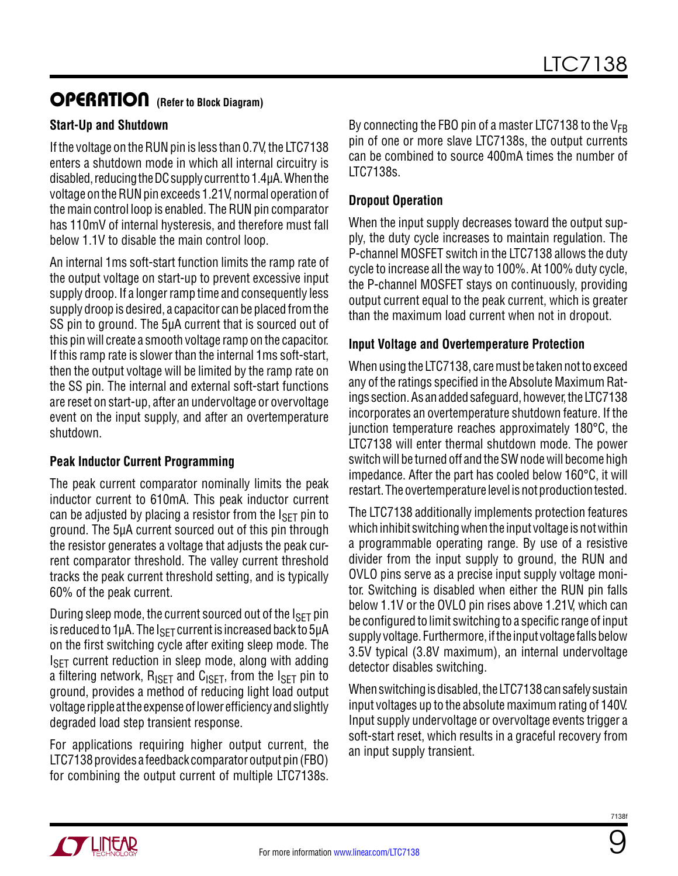### **OPERATION** (Refer to Block Diagram)

#### **Start-Up and Shutdown**

If the voltage on the RUN pin is less than 0.7V, the LTC7138 enters a shutdown mode in which all internal circuitry is disabled, reducing the DC supply current to 1.4µA. When the voltage on the RUN pin exceeds 1.21V, normal operation of the main control loop is enabled. The RUN pin comparator has 110mV of internal hysteresis, and therefore must fall below 1.1V to disable the main control loop.

An internal 1ms soft-start function limits the ramp rate of the output voltage on start-up to prevent excessive input supply droop. If a longer ramp time and consequently less supply droop is desired, a capacitor can be placed from the SS pin to ground. The 5µA current that is sourced out of this pin will create a smooth voltage ramp on the capacitor. If this ramp rate is slower than the internal 1ms soft-start, then the output voltage will be limited by the ramp rate on the SS pin. The internal and external soft-start functions are reset on start-up, after an undervoltage or overvoltage event on the input supply, and after an overtemperature shutdown.

#### **Peak Inductor Current Programming**

The peak current comparator nominally limits the peak inductor current to 610mA. This peak inductor current can be adjusted by placing a resistor from the  $I_{\rm SFT}$  pin to ground. The 5µA current sourced out of this pin through the resistor generates a voltage that adjusts the peak current comparator threshold. The valley current threshold tracks the peak current threshold setting, and is typically 60% of the peak current.

During sleep mode, the current sourced out of the  $I_{\text{SFT}}$  pin is reduced to  $1\mu$ A. The  $I_{\text{SFT}}$  current is increased back to  $5\mu$ A on the first switching cycle after exiting sleep mode. The  $I_{\rm SFT}$  current reduction in sleep mode, along with adding a filtering network,  $R_{\text{ISFT}}$  and  $C_{\text{ISFT}}$ , from the  $I_{\text{SFT}}$  pin to ground, provides a method of reducing light load output voltage ripple at the expense of lower efficiency and slightly degraded load step transient response.

For applications requiring higher output current, the LTC7138 provides a feedback comparator output pin (FBO) for combining the output current of multiple LTC7138s.

By connecting the FBO pin of a master LTC7138 to the  $V_{FR}$ pin of one or more slave LTC7138s, the output currents can be combined to source 400mA times the number of LTC7138s.

#### **Dropout Operation**

When the input supply decreases toward the output supply, the duty cycle increases to maintain regulation. The P-channel MOSFET switch in the LTC7138 allows the duty cycle to increase all the way to 100%. At 100% duty cycle, the P-channel MOSFET stays on continuously, providing output current equal to the peak current, which is greater than the maximum load current when not in dropout.

#### **Input Voltage and Overtemperature Protection**

When using the LTC7138, care must be taken not to exceed any of the ratings specified in the Absolute Maximum Ratings section. As an added safeguard, however, the LTC7138 incorporates an overtemperature shutdown feature. If the junction temperature reaches approximately 180°C, the LTC7138 will enter thermal shutdown mode. The power switch will be turned off and the SW node will become high impedance. After the part has cooled below 160°C, it will restart. The overtemperature level is not production tested.

The LTC7138 additionally implements protection features which inhibit switching when the input voltage is not within a programmable operating range. By use of a resistive divider from the input supply to ground, the RUN and OVLO pins serve as a precise input supply voltage monitor. Switching is disabled when either the RUN pin falls below 1.1V or the OVLO pin rises above 1.21V, which can be configured to limit switching to a specific range of input supply voltage. Furthermore, if the input voltage falls below 3.5V typical (3.8V maximum), an internal undervoltage detector disables switching.

When switching is disabled, the LTC7138 can safely sustain input voltages up to the absolute maximum rating of 140V. Input supply undervoltage or overvoltage events trigger a soft-start reset, which results in a graceful recovery from an input supply transient.

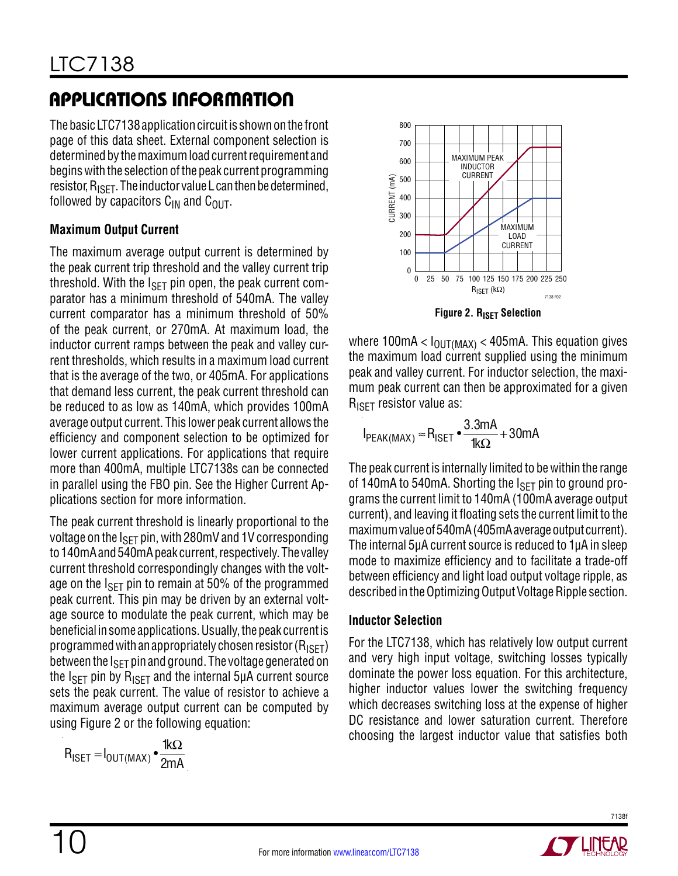The basic LTC7138 application circuit is shown on the front page of this data sheet. External component selection is determined by the maximum load current requirement and begins with the selection of the peak current programming resistor,  $R_{\text{ISET}}$ . The inductor value L can then be determined, followed by capacitors  $C_{IN}$  and  $C_{OIII}$ .

#### **Maximum Output Current**

The maximum average output current is determined by the peak current trip threshold and the valley current trip threshold. With the  $I_{\rm SFT}$  pin open, the peak current comparator has a minimum threshold of 540mA. The valley current comparator has a minimum threshold of 50% of the peak current, or 270mA. At maximum load, the inductor current ramps between the peak and valley current thresholds, which results in a maximum load current that is the average of the two, or 405mA. For applications that demand less current, the peak current threshold can be reduced to as low as 140mA, which provides 100mA average output current. This lower peak current allows the efficiency and component selection to be optimized for lower current applications. For applications that require more than 400mA, multiple LTC7138s can be connected in parallel using the FBO pin. See the Higher Current Applications section for more information.

The peak current threshold is linearly proportional to the voltage on the  $I_{\text{SET}}$  pin, with 280mV and 1V corresponding to 140mA and 540mA peak current, respectively. The valley current threshold correspondingly changes with the voltage on the  $I_{\text{SFT}}$  pin to remain at 50% of the programmed peak current. This pin may be driven by an external voltage source to modulate the peak current, which may be beneficial in some applications. Usually, the peak current is programmed with an appropriately chosen resistor ( $R_{\text{ISFT}}$ ) between the  $I_{\text{SFT}}$  pin and ground. The voltage generated on the  $I_{\text{SET}}$  pin by  $R_{\text{ISET}}$  and the internal 5µA current source sets the peak current. The value of resistor to achieve a maximum average output current can be computed by using Figure 2 or the following equation:

$$
R_{\text{ISET}} = I_{\text{OUT}(\text{MAX})} \cdot \frac{1 \text{k}\Omega}{2 \text{mA}}
$$



**Figure 2. RISET Selection** 

where 100mA  $< I_{\text{OUT} (MAX)} < 405$ mA. This equation gives the maximum load current supplied using the minimum peak and valley current. For inductor selection, the maximum peak current can then be approximated for a given R<sub>ISFT</sub> resistor value as:

$$
I_{PEAK(MAX)} \approx R_{ISET} \cdot \frac{3.3mA}{1k\Omega} + 30mA
$$

The peak current is internally limited to be within the range of 140mA to 540mA. Shorting the  $I_{\text{SFT}}$  pin to ground programs the current limit to 140mA (100mA average output current), and leaving it floating sets the current limit to the maximum value of 540mA (405mA average output current). The internal 5µA current source is reduced to 1µA in sleep mode to maximize efficiency and to facilitate a trade-off between efficiency and light load output voltage ripple, as described in the Optimizing Output Voltage Ripple section.

#### **Inductor Selection**

For the LTC7138, which has relatively low output current and very high input voltage, switching losses typically dominate the power loss equation. For this architecture, higher inductor values lower the switching frequency which decreases switching loss at the expense of higher DC resistance and lower saturation current. Therefore choosing the largest inductor value that satisfies both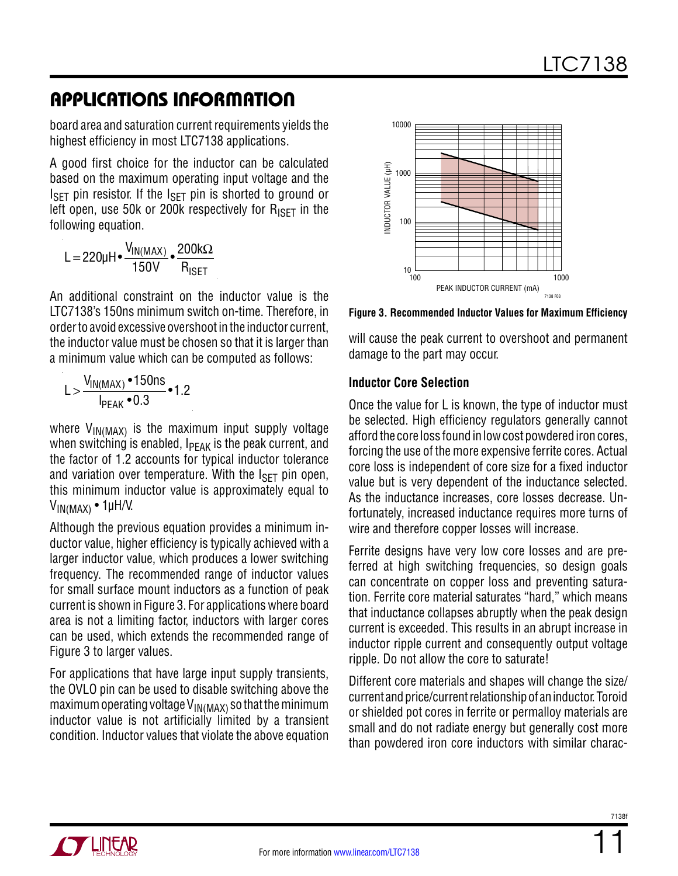board area and saturation current requirements yields the highest efficiency in most LTC7138 applications.

A good first choice for the inductor can be calculated based on the maximum operating input voltage and the  $I_{\text{SET}}$  pin resistor. If the  $I_{\text{SET}}$  pin is shorted to ground or left open, use 50k or 200k respectively for  $R_{\text{ISFT}}$  in the following equation.

$$
L = 220 \mu H \bullet \frac{V_{IN(MAX)}}{150 V} \bullet \frac{200 k \Omega}{R_{ISET}}
$$

An additional constraint on the inductor value is the LTC7138's 150ns minimum switch on-time. Therefore, in order to avoid excessive overshoot in the inductor current, the inductor value must be chosen so that it is larger than a minimum value which can be computed as follows:

$$
L > \frac{V_{IN(MAX)} \cdot 150 \text{ns}}{I_{PEAK} \cdot 0.3} \cdot 1.2
$$

where  $V_{IN(MAX)}$  is the maximum input supply voltage when switching is enabled,  $I_{\text{PFAK}}$  is the peak current, and the factor of 1.2 accounts for typical inductor tolerance and variation over temperature. With the  $I_{\rm SFT}$  pin open, this minimum inductor value is approximately equal to  $V_{IN(MAX)}$  • 1µH/V.

Although the previous equation provides a minimum inductor value, higher efficiency is typically achieved with a larger inductor value, which produces a lower switching frequency. The recommended range of inductor values for small surface mount inductors as a function of peak current is shown in Figure 3. For applications where board area is not a limiting factor, inductors with larger cores can be used, which extends the recommended range of Figure 3 to larger values.

For applications that have large input supply transients, the OVLO pin can be used to disable switching above the maximum operating voltage  $V_{\text{IN}(\text{MAX})}$  so that the minimum inductor value is not artificially limited by a transient condition. Inductor values that violate the above equation



**Figure 3. Recommended Inductor Values for Maximum Efficiency**

will cause the peak current to overshoot and permanent damage to the part may occur.

#### **Inductor Core Selection**

Once the value for L is known, the type of inductor must be selected. High efficiency regulators generally cannot afford the core loss found in low cost powdered iron cores, forcing the use of the more expensive ferrite cores. Actual core loss is independent of core size for a fixed inductor value but is very dependent of the inductance selected. As the inductance increases, core losses decrease. Unfortunately, increased inductance requires more turns of wire and therefore copper losses will increase.

Ferrite designs have very low core losses and are preferred at high switching frequencies, so design goals can concentrate on copper loss and preventing saturation. Ferrite core material saturates "hard," which means that inductance collapses abruptly when the peak design current is exceeded. This results in an abrupt increase in inductor ripple current and consequently output voltage ripple. Do not allow the core to saturate!

Different core materials and shapes will change the size/ current and price/current relationship of an inductor. Toroid or shielded pot cores in ferrite or permalloy materials are small and do not radiate energy but generally cost more than powdered iron core inductors with similar charac-

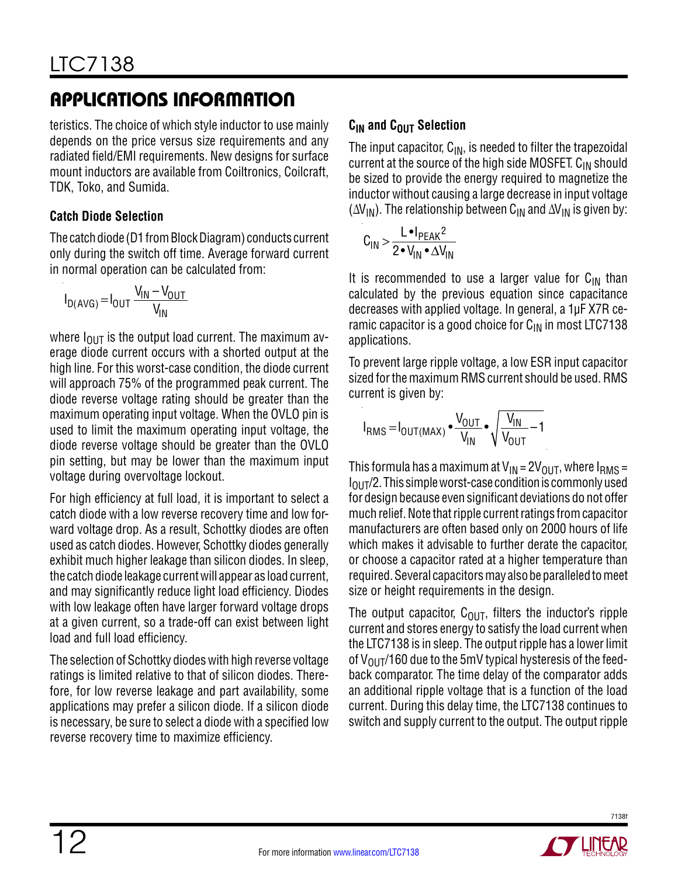teristics. The choice of which style inductor to use mainly depends on the price versus size requirements and any radiated field/EMI requirements. New designs for surface mount inductors are available from Coiltronics, Coilcraft, TDK, Toko, and Sumida.

#### **Catch Diode Selection**

The catch diode (D1 from Block Diagram) conducts current only during the switch off time. Average forward current in normal operation can be calculated from:

$$
I_{D(AVG)} = I_{OUT} \frac{V_{IN} - V_{OUT}}{V_{IN}}
$$

where  $I_{\text{OUT}}$  is the output load current. The maximum average diode current occurs with a shorted output at the high line. For this worst-case condition, the diode current will approach 75% of the programmed peak current. The diode reverse voltage rating should be greater than the maximum operating input voltage. When the OVLO pin is used to limit the maximum operating input voltage, the diode reverse voltage should be greater than the OVLO pin setting, but may be lower than the maximum input voltage during overvoltage lockout.

For high efficiency at full load, it is important to select a catch diode with a low reverse recovery time and low forward voltage drop. As a result, Schottky diodes are often used as catch diodes. However, Schottky diodes generally exhibit much higher leakage than silicon diodes. In sleep, the catch diode leakage current will appear as load current, and may significantly reduce light load efficiency. Diodes with low leakage often have larger forward voltage drops at a given current, so a trade-off can exist between light load and full load efficiency.

The selection of Schottky diodes with high reverse voltage ratings is limited relative to that of silicon diodes. Therefore, for low reverse leakage and part availability, some applications may prefer a silicon diode. If a silicon diode is necessary, be sure to select a diode with a specified low reverse recovery time to maximize efficiency.

### **C<sub>IN</sub>** and C<sub>OUT</sub> Selection

The input capacitor,  $C_{IN}$ , is needed to filter the trapezoidal current at the source of the high side MOSFET.  $C_{IN}$  should be sized to provide the energy required to magnetize the inductor without causing a large decrease in input voltage  $(\Delta V_{IN})$ . The relationship between C<sub>IN</sub> and  $\Delta V_{IN}$  is given by:

$$
C_{IN} > \frac{L \cdot I_{PEAK}^2}{2 \cdot V_{IN} \cdot \Delta V_{IN}}
$$

It is recommended to use a larger value for  $C_{IN}$  than calculated by the previous equation since capacitance decreases with applied voltage. In general, a 1µF X7R ceramic capacitor is a good choice for  $C_{\text{IN}}$  in most LTC7138 applications.

To prevent large ripple voltage, a low ESR input capacitor sized for the maximum RMS current should be used. RMS current is given by:

$$
I_{RMS} = I_{OUT(MAX)} \bullet \frac{V_{OUT}}{V_{IN}} \bullet \sqrt{\frac{V_{IN}}{V_{OUT}} - 1}
$$

This formula has a maximum at  $V_{IN} = 2V_{OUT}$ , where  $I_{RMS} =$  $I<sub>OUT</sub>/2$ . This simple worst-case condition is commonly used for design because even significant deviations do not offer much relief. Note that ripple current ratings from capacitor manufacturers are often based only on 2000 hours of life which makes it advisable to further derate the capacitor, or choose a capacitor rated at a higher temperature than required. Several capacitors may also be paralleled to meet size or height requirements in the design.

The output capacitor,  $C_{\text{OUT}}$ , filters the inductor's ripple current and stores energy to satisfy the load current when the LTC7138 is in sleep. The output ripple has a lower limit of  $V_{\text{OUT}}/160$  due to the 5mV typical hysteresis of the feedback comparator. The time delay of the comparator adds an additional ripple voltage that is a function of the load current. During this delay time, the LTC7138 continues to switch and supply current to the output. The output ripple

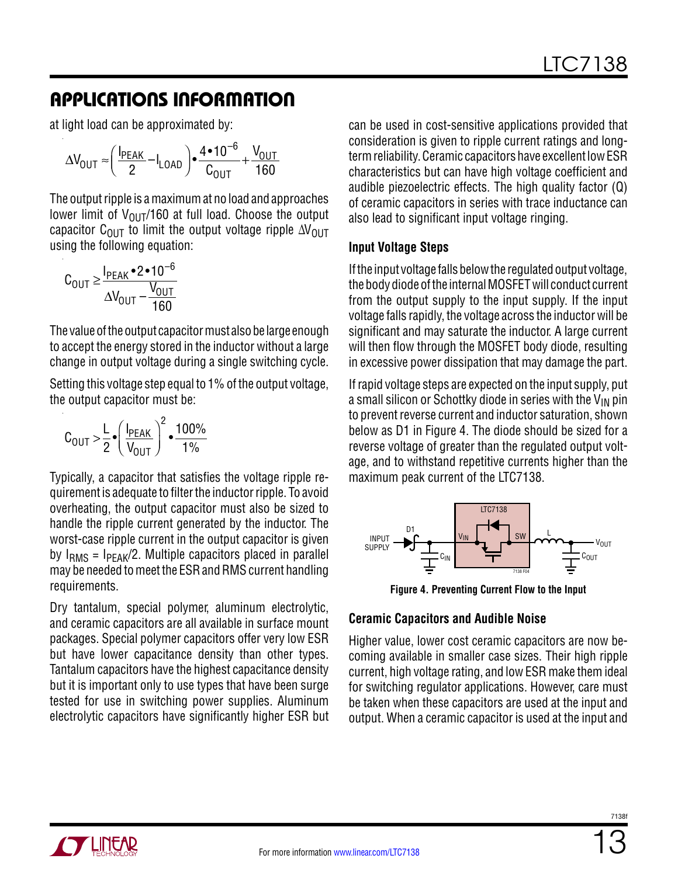at light load can be approximated by:

$$
\Delta V_{\text{OUT}} \approx \left(\frac{I_{\text{PEAK}}}{2} - I_{\text{LOAD}}\right) \cdot \frac{4 \cdot 10^{-6}}{C_{\text{OUT}}} + \frac{V_{\text{OUT}}}{160}
$$

The output ripple is a maximum at no load and approaches lower limit of  $V_{\text{OUT}}/160$  at full load. Choose the output capacitor C<sub>OUT</sub> to limit the output voltage ripple ∆V<sub>OUT</sub> using the following equation:

$$
C_{\text{OUT}} \ge \frac{I_{\text{PEAK}} \cdot 2 \cdot 10^{-6}}{\Delta V_{\text{OUT}} - \frac{V_{\text{OUT}}}{160}}
$$

The value of the output capacitor must also be large enough to accept the energy stored in the inductor without a large change in output voltage during a single switching cycle.

Setting this voltage step equal to 1% of the output voltage, the output capacitor must be:

$$
C_{\text{OUT}} > \frac{L}{2} \bullet \left(\frac{I_{\text{PEAK}}}{V_{\text{OUT}}}\right)^2 \bullet \frac{100\%}{1\%}
$$

Typically, a capacitor that satisfies the voltage ripple requirement is adequate to filter the inductor ripple. To avoid overheating, the output capacitor must also be sized to handle the ripple current generated by the inductor. The worst-case ripple current in the output capacitor is given by  $I<sub>RMS</sub> = I<sub>PEAK</sub>/2$ . Multiple capacitors placed in parallel may be needed to meet the ESR and RMS current handling requirements.

Dry tantalum, special polymer, aluminum electrolytic, and ceramic capacitors are all available in surface mount packages. Special polymer capacitors offer very low ESR but have lower capacitance density than other types. Tantalum capacitors have the highest capacitance density but it is important only to use types that have been surge tested for use in switching power supplies. Aluminum electrolytic capacitors have significantly higher ESR but

can be used in cost-sensitive applications provided that consideration is given to ripple current ratings and longterm reliability. Ceramic capacitors have excellent low ESR characteristics but can have high voltage coefficient and audible piezoelectric effects. The high quality factor (Q) of ceramic capacitors in series with trace inductance can also lead to significant input voltage ringing.

#### **Input Voltage Steps**

If the input voltage falls below the regulated output voltage, the body diode of the internal MOSFET will conduct current from the output supply to the input supply. If the input voltage falls rapidly, the voltage across the inductor will be significant and may saturate the inductor. A large current will then flow through the MOSFET body diode, resulting in excessive power dissipation that may damage the part.

If rapid voltage steps are expected on the input supply, put a small silicon or Schottky diode in series with the  $V_{IN}$  pin to prevent reverse current and inductor saturation, shown below as D1 in Figure 4. The diode should be sized for a reverse voltage of greater than the regulated output voltage, and to withstand repetitive currents higher than the maximum peak current of the LTC7138.



**Figure 4. Preventing Current Flow to the Input**

#### **Ceramic Capacitors and Audible Noise**

Higher value, lower cost ceramic capacitors are now becoming available in smaller case sizes. Their high ripple current, high voltage rating, and low ESR make them ideal for switching regulator applications. However, care must be taken when these capacitors are used at the input and output. When a ceramic capacitor is used at the input and

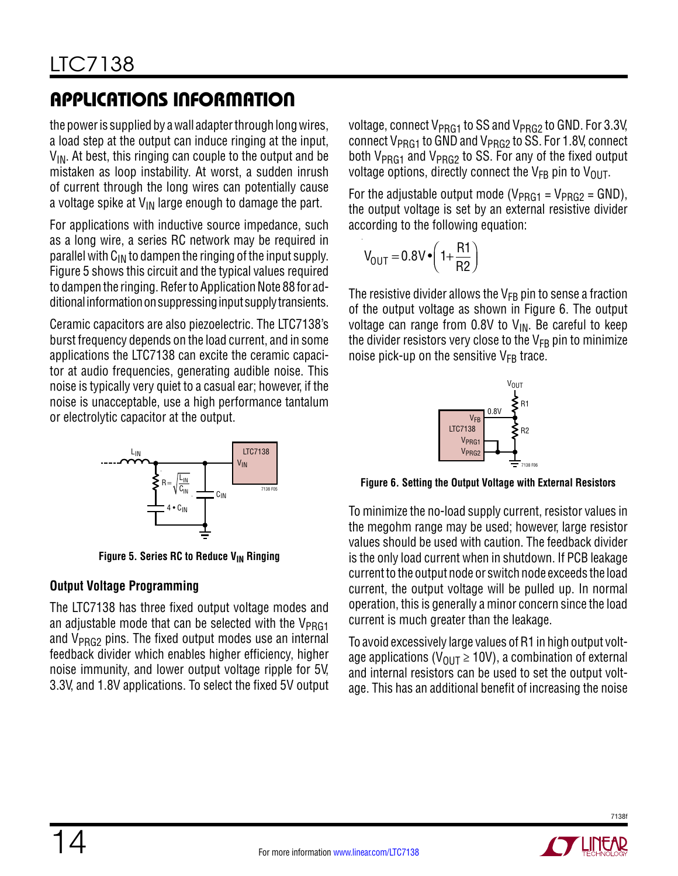the power is supplied by a wall adapter through long wires, a load step at the output can induce ringing at the input,  $V_{IN}$ . At best, this ringing can couple to the output and be mistaken as loop instability. At worst, a sudden inrush of current through the long wires can potentially cause a voltage spike at  $V_{IN}$  large enough to damage the part.

For applications with inductive source impedance, such as a long wire, a series RC network may be required in parallel with  $C_{IN}$  to dampen the ringing of the input supply. Figure 5 shows this circuit and the typical values required to dampen the ringing. Refer to Application Note 88 for additional information on suppressing input supply transients.

Ceramic capacitors are also piezoelectric. The LTC7138's burst frequency depends on the load current, and in some applications the LTC7138 can excite the ceramic capacitor at audio frequencies, generating audible noise. This noise is typically very quiet to a casual ear; however, if the noise is unacceptable, use a high performance tantalum or electrolytic capacitor at the output.



**Figure 5. Series RC to Reduce V<sub>IN</sub> Ringing** 

### **Output Voltage Programming**

The LTC7138 has three fixed output voltage modes and an adjustable mode that can be selected with the  $V_{PRG1}$ and  $V_{PRG2}$  pins. The fixed output modes use an internal feedback divider which enables higher efficiency, higher noise immunity, and lower output voltage ripple for 5V, 3.3V, and 1.8V applications. To select the fixed 5V output voltage, connect  $V_{PRG1}$  to SS and  $V_{PRG2}$  to GND. For 3.3V, connect  $V_{PRG1}$  to GND and  $V_{PRG2}$  to SS. For 1.8V, connect both  $V_{PRG1}$  and  $V_{PRG2}$  to SS. For any of the fixed output voltage options, directly connect the  $V_{FB}$  pin to  $V_{OUT}$ .

For the adjustable output mode ( $V_{PRG1}$  =  $V_{PRG2}$  = GND), the output voltage is set by an external resistive divider according to the following equation:

$$
V_{\text{OUT}} = 0.8 V \cdot \left(1 + \frac{R1}{R2}\right)
$$

The resistive divider allows the  $V_{FB}$  pin to sense a fraction of the output voltage as shown in Figure 6. The output voltage can range from  $0.8V$  to  $V_{IN}$ . Be careful to keep the divider resistors very close to the  $V_{FB}$  pin to minimize noise pick-up on the sensitive  $V_{FB}$  trace.



**Figure 6. Setting the Output Voltage with External Resistors**

To minimize the no-load supply current, resistor values in the megohm range may be used; however, large resistor values should be used with caution. The feedback divider is the only load current when in shutdown. If PCB leakage current to the output node or switch node exceeds the load current, the output voltage will be pulled up. In normal operation, this is generally a minor concern since the load current is much greater than the leakage.

To avoid excessively large values of R1 in high output voltage applications ( $V_{OIII} \ge 10V$ ), a combination of external and internal resistors can be used to set the output voltage. This has an additional benefit of increasing the noise

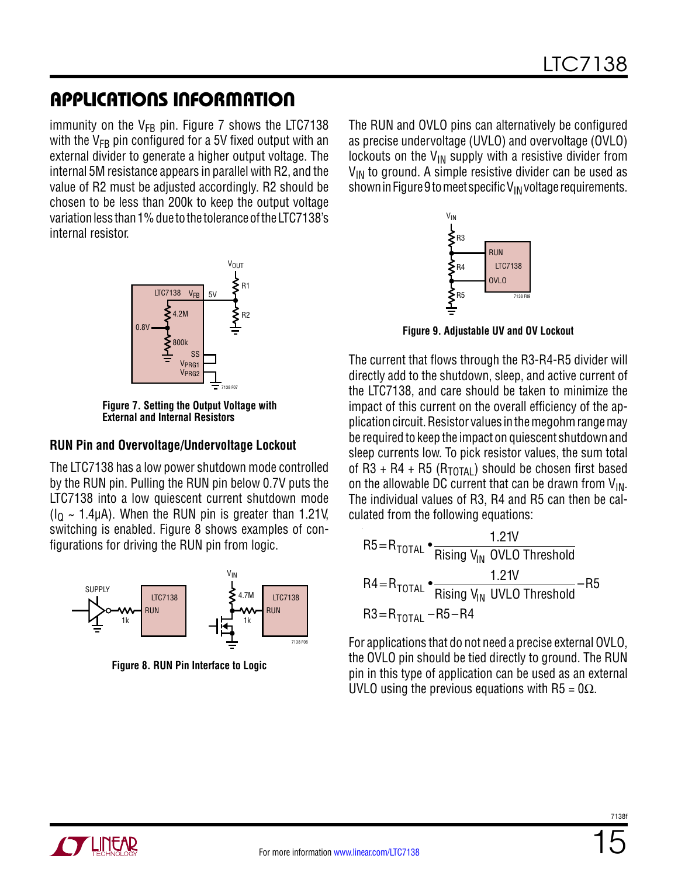immunity on the  $V_{FB}$  pin. Figure 7 shows the LTC7138 with the  $V_{FB}$  pin configured for a 5V fixed output with an external divider to generate a higher output voltage. The internal 5M resistance appears in parallel with R2, and the value of R2 must be adjusted accordingly. R2 should be chosen to be less than 200k to keep the output voltage variation less than 1% due to the tolerance of the LTC7138's internal resistor.



**Figure 7. Setting the Output Voltage with External and Internal Resistors**

#### **RUN Pin and Overvoltage/Undervoltage Lockout**

The LTC7138 has a low power shutdown mode controlled by the RUN pin. Pulling the RUN pin below 0.7V puts the LTC7138 into a low quiescent current shutdown mode  $(I<sub>Q</sub> \sim 1.4 \mu A)$ . When the RUN pin is greater than 1.21V, switching is enabled. Figure 8 shows examples of configurations for driving the RUN pin from logic.



**Figure 8. RUN Pin Interface to Logic**

The RUN and OVLO pins can alternatively be configured as precise undervoltage (UVLO) and overvoltage (OVLO) lockouts on the  $V_{IN}$  supply with a resistive divider from  $V_{IN}$  to ground. A simple resistive divider can be used as shown in Figure 9 to meet specific  $V_{IN}$  voltage requirements.



**Figure 9. Adjustable UV and OV Lockout**

The current that flows through the R3-R4-R5 divider will directly add to the shutdown, sleep, and active current of the LTC7138, and care should be taken to minimize the impact of this current on the overall efficiency of the application circuit. Resistor values in the megohm range may be required to keep the impact on quiescent shutdown and sleep currents low. To pick resistor values, the sum total of R3 + R4 + R5 ( $R_{\text{TOTAL}}$ ) should be chosen first based on the allowable DC current that can be drawn from  $V_{IN}$ . The individual values of R3, R4 and R5 can then be calculated from the following equations:

$$
R5 = R_{\text{total}} \cdot \frac{1.21V}{\text{Rising } V_{\text{IN}} \text{ OVLO Threshold}}
$$
  

$$
R4 = R_{\text{total}} \cdot \frac{1.21V}{\text{Rising } V_{\text{IN}} \text{ UVLO Threshold}} - R5
$$
  

$$
R3 = R_{\text{total}} - R5 - R4
$$

For applications that do not need a precise external OVLO, the OVLO pin should be tied directly to ground. The RUN pin in this type of application can be used as an external UVLO using the previous equations with R5 =  $0\Omega$ .

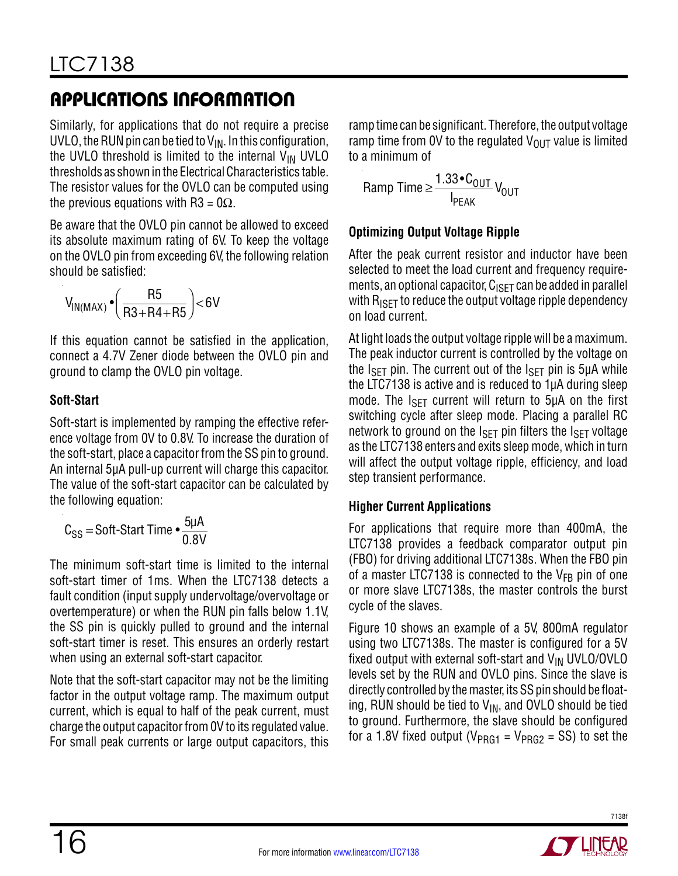Similarly, for applications that do not require a precise UVLO, the RUN pin can be tied to  $V_{IN}$ . In this configuration, the UVLO threshold is limited to the internal  $V_{\text{IN}}$  UVLO thresholds as shown in the Electrical Characteristics table. The resistor values for the OVLO can be computed using the previous equations with R3 =  $0\Omega$ .

Be aware that the OVLO pin cannot be allowed to exceed its absolute maximum rating of 6V. To keep the voltage on the OVLO pin from exceeding 6V, the following relation should be satisfied:

$$
V_{IN(MAX)} \cdot \left(\frac{R5}{R3 + R4 + R5}\right) < 6V
$$

If this equation cannot be satisfied in the application, connect a 4.7V Zener diode between the OVLO pin and ground to clamp the OVLO pin voltage.

### **Soft-Start**

Soft-start is implemented by ramping the effective reference voltage from 0V to 0.8V. To increase the duration of the soft-start, place a capacitor from the SS pin to ground. An internal 5µA pull-up current will charge this capacitor. The value of the soft-start capacitor can be calculated by the following equation:

$$
C_{SS} = \text{Soft-Start Time} \cdot \frac{5\mu A}{0.8V}
$$

The minimum soft-start time is limited to the internal soft-start timer of 1ms. When the LTC7138 detects a fault condition (input supply undervoltage/overvoltage or overtemperature) or when the RUN pin falls below 1.1V, the SS pin is quickly pulled to ground and the internal soft-start timer is reset. This ensures an orderly restart when using an external soft-start capacitor.

Note that the soft-start capacitor may not be the limiting factor in the output voltage ramp. The maximum output current, which is equal to half of the peak current, must charge the output capacitor from 0V to its regulated value. For small peak currents or large output capacitors, this

ramp time can be significant. Therefore, the output voltage ramp time from 0V to the regulated  $V_{\text{OUT}}$  value is limited to a minimum of

$$
Ramp Time \ge \frac{1.33 \cdot C_{OUT}}{I_{PEAK}} V_{OUT}
$$

### **Optimizing Output Voltage Ripple**

After the peak current resistor and inductor have been selected to meet the load current and frequency requirements, an optional capacitor,  $C_{\text{ISET}}$  can be added in parallel with  $R_{\text{ISET}}$  to reduce the output voltage ripple dependency on load current.

At light loads the output voltage ripple will be a maximum. The peak inductor current is controlled by the voltage on the  $I_{\text{SFT}}$  pin. The current out of the  $I_{\text{SFT}}$  pin is 5µA while the LTC7138 is active and is reduced to 1µA during sleep mode. The  $I_{\text{SFT}}$  current will return to 5 $\mu$ A on the first switching cycle after sleep mode. Placing a parallel RC network to ground on the  $I_{\text{SET}}$  pin filters the  $I_{\text{SET}}$  voltage as the LTC7138 enters and exits sleep mode, which in turn will affect the output voltage ripple, efficiency, and load step transient performance.

#### **Higher Current Applications**

For applications that require more than 400mA, the LTC7138 provides a feedback comparator output pin (FBO) for driving additional LTC7138s. When the FBO pin of a master LTC7138 is connected to the  $V_{FR}$  pin of one or more slave LTC7138s, the master controls the burst cycle of the slaves.

Figure 10 shows an example of a 5V, 800mA regulator using two LTC7138s. The master is configured for a 5V fixed output with external soft-start and  $V_{IN}$  UVLO/OVLO levels set by the RUN and OVLO pins. Since the slave is directly controlled by the master, its SS pin should be floating, RUN should be tied to  $V_{IN}$ , and OVLO should be tied to ground. Furthermore, the slave should be configured for a 1.8V fixed output ( $V_{PRG1}$  =  $V_{PRG2}$  = SS) to set the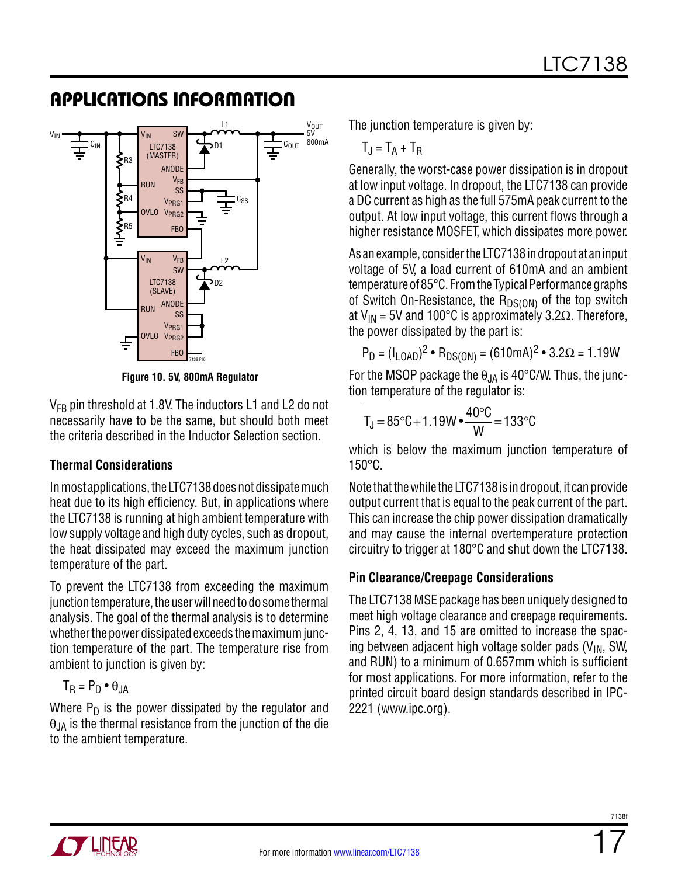

**Figure 10. 5V, 800mA Regulator**

 $V_{FB}$  pin threshold at 1.8V. The inductors L1 and L2 do not necessarily have to be the same, but should both meet the criteria described in the Inductor Selection section.

#### **Thermal Considerations**

In most applications, the LTC7138 does not dissipate much heat due to its high efficiency. But, in applications where the LTC7138 is running at high ambient temperature with low supply voltage and high duty cycles, such as dropout, the heat dissipated may exceed the maximum junction temperature of the part.

To prevent the LTC7138 from exceeding the maximum junction temperature, the user will need to do some thermal analysis. The goal of the thermal analysis is to determine whether the power dissipated exceeds the maximum junction temperature of the part. The temperature rise from ambient to junction is given by:

$$
T_R = P_D \bullet \theta_{JA}
$$

Where  $P_D$  is the power dissipated by the regulator and  $\theta_{JA}$  is the thermal resistance from the junction of the die to the ambient temperature.

The junction temperature is given by:

$$
T_J = T_A + T_R
$$

Generally, the worst-case power dissipation is in dropout at low input voltage. In dropout, the LTC7138 can provide a DC current as high as the full 575mA peak current to the output. At low input voltage, this current flows through a higher resistance MOSFET, which dissipates more power.

As an example, consider the LTC7138 in dropout at an input voltage of 5V, a load current of 610mA and an ambient temperature of 85°C. From the Typical Performance graphs of Switch On-Resistance, the  $R_{DS(ON)}$  of the top switch at V<sub>IN</sub> = 5V and 100°C is approximately 3.2 $\Omega$ . Therefore, the power dissipated by the part is:

$$
P_D = (I_{LOAD})^2 \cdot R_{DS(ON)} = (610mA)^2 \cdot 3.2\Omega = 1.19W
$$

For the MSOP package the  $\theta_{JA}$  is 40°C/W. Thus, the junction temperature of the regulator is:

$$
T_J = 85^{\circ}C + 1.19W \cdot \frac{40^{\circ}C}{W} = 133^{\circ}C
$$

which is below the maximum junction temperature of 150°C.

Note that the while the LTC7138 is in dropout, it can provide output current that is equal to the peak current of the part. This can increase the chip power dissipation dramatically and may cause the internal overtemperature protection circuitry to trigger at 180°C and shut down the LTC7138.

#### **Pin Clearance/Creepage Considerations**

The LTC7138 MSE package has been uniquely designed to meet high voltage clearance and creepage requirements. Pins 2, 4, 13, and 15 are omitted to increase the spacing between adjacent high voltage solder pads  $(V_{IN}, SW, W)$ and RUN) to a minimum of 0.657mm which is sufficient for most applications. For more information, refer to the printed circuit board design standards described in IPC-2221 (www.ipc.org).

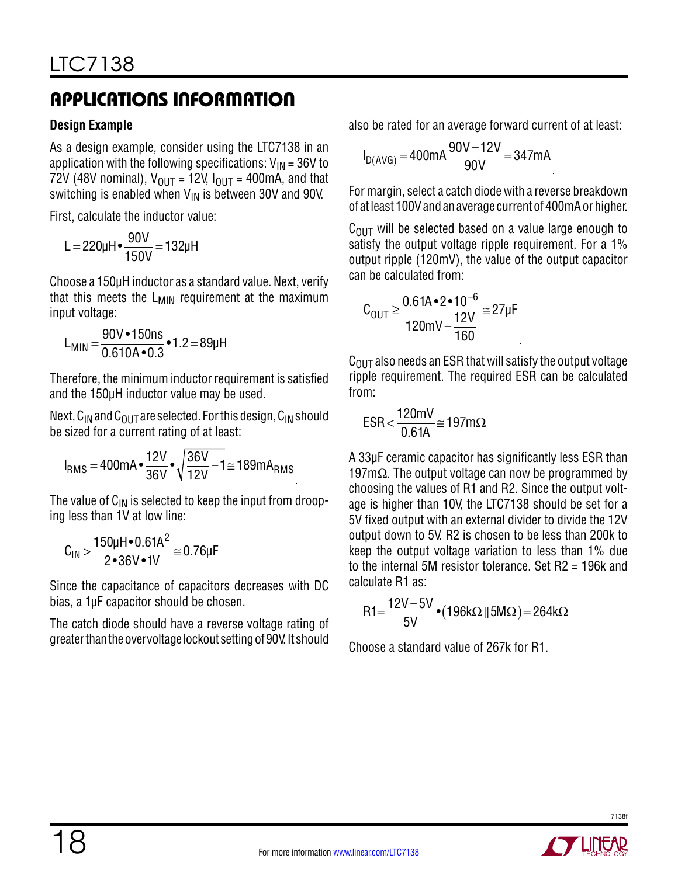#### **Design Example**

As a design example, consider using the LTC7138 in an application with the following specifications:  $V_{IN} = 36V$  to 72V (48V nominal),  $V_{\text{OUT}} = 12V$ ,  $I_{\text{OUT}} = 400 \text{mA}$ , and that switching is enabled when  $V_{IN}$  is between 30V and 90V.

First, calculate the inductor value:

$$
L = 220 \mu H \cdot \frac{90 V}{150 V} = 132 \mu H
$$

Choose a 150µH inductor as a standard value. Next, verify that this meets the  $L_{\text{MIN}}$  requirement at the maximum input voltage:

$$
L_{MIN} = \frac{90V \cdot 150ns}{0.610A \cdot 0.3} \cdot 1.2 = 89 \mu H
$$

Therefore, the minimum inductor requirement is satisfied and the 150μH inductor value may be used.

Next,  $C_{IN}$  and  $C_{OUT}$  are selected. For this design,  $C_{IN}$  should be sized for a current rating of at least:

$$
I_{RMS} = 400mA \cdot \frac{12V}{36V} \cdot \sqrt{\frac{36V}{12V} - 1} \approx 189mA_{RMS}
$$

The value of  $C_{IN}$  is selected to keep the input from drooping less than 1V at low line:

$$
C_{IN} > \frac{150 \mu H \cdot 0.61 A^2}{2 \cdot 36 V \cdot 1V} \approx 0.76 \mu F
$$

Since the capacitance of capacitors decreases with DC bias, a 1µF capacitor should be chosen.

The catch diode should have a reverse voltage rating of greater than the overvoltage lockout setting of 90V. It should

also be rated for an average forward current of at least:

$$
I_{D(AVG)} = 400mA \frac{90V - 12V}{90V} = 347mA
$$

For margin, select a catch diode with a reverse breakdown of at least 100V and an average current of 400mA or higher.

 $C_{\text{OUT}}$  will be selected based on a value large enough to satisfy the output voltage ripple requirement. For a 1% output ripple (120mV), the value of the output capacitor can be calculated from:

$$
C_{\text{OUT}} \ge \frac{0.61A \cdot 2 \cdot 10^{-6}}{120mV - \frac{12V}{160}} \approx 27 \mu F
$$

 $C_{\text{OUT}}$  also needs an ESR that will satisfy the output voltage ripple requirement. The required ESR can be calculated from:

$$
ESR < \frac{120mV}{0.61A} \approx 197m\Omega
$$

A 33µF ceramic capacitor has significantly less ESR than 197m $\Omega$ . The output voltage can now be programmed by choosing the values of R1 and R2. Since the output voltage is higher than 10V, the LTC7138 should be set for a 5V fixed output with an external divider to divide the 12V output down to 5V. R2 is chosen to be less than 200k to keep the output voltage variation to less than 1% due to the internal 5M resistor tolerance. Set R2 = 196k and calculate R1 as:

$$
R1 = \frac{12V - 5V}{5V} \cdot (196k\Omega || 5M\Omega) = 264k\Omega
$$

Choose a standard value of 267k for R1.

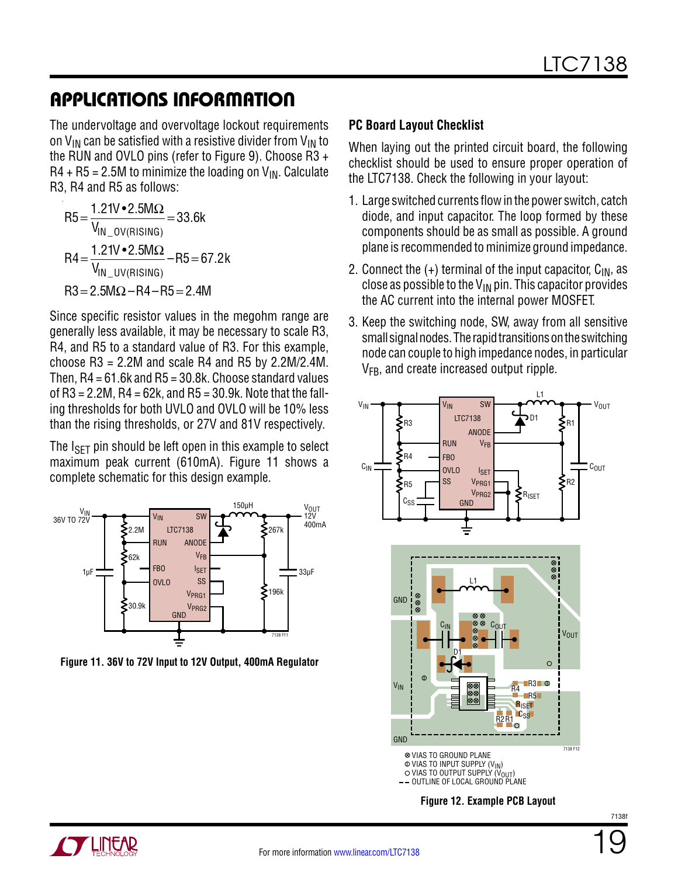The undervoltage and overvoltage lockout requirements on  $V_{IN}$  can be satisfied with a resistive divider from  $V_{IN}$  to the RUN and OVLO pins (refer to Figure 9). Choose R3 +  $R4 + R5 = 2.5M$  to minimize the loading on  $V_{IR}$ . Calculate R3, R4 and R5 as follows:

$$
R5 = \frac{1.21V \cdot 2.5M\Omega}{V_{IN\_OV(RISING)}} = 33.6k
$$
  
\n
$$
R4 = \frac{1.21V \cdot 2.5M\Omega}{V_{IN\_UV(RISING)}} - R5 = 67.2k
$$
  
\n
$$
R3 = 2.5M\Omega - R4 - R5 = 2.4M
$$

Since specific resistor values in the megohm range are generally less available, it may be necessary to scale R3, R4, and R5 to a standard value of R3. For this example, choose  $R3 = 2.2M$  and scale R4 and R5 by 2.2M/2.4M. Then,  $R4 = 61.6$ k and  $R5 = 30.8$ k. Choose standard values of  $R3 = 2.2M$ ,  $R4 = 62k$ , and  $R5 = 30.9k$ . Note that the falling thresholds for both UVLO and OVLO will be 10% less than the rising thresholds, or 27V and 81V respectively.

The  $I_{\text{SFT}}$  pin should be left open in this example to select maximum peak current (610mA). Figure 11 shows a complete schematic for this design example.



**Figure 11. 36V to 72V Input to 12V Output, 400mA Regulator**

#### **PC Board Layout Checklist**

When laying out the printed circuit board, the following checklist should be used to ensure proper operation of the LTC7138. Check the following in your layout:

- 1. Large switched currents flow in the power switch, catch diode, and input capacitor. The loop formed by these components should be as small as possible. A ground plane is recommended to minimize ground impedance.
- 2. Connect the  $(+)$  terminal of the input capacitor,  $C_{IN}$ , as close as possible to the  $V_{IN}$  pin. This capacitor provides the AC current into the internal power MOSFET.
- 3. Keep the switching node, SW, away from all sensitive small signal nodes. The rapid transitions on the switching node can couple to high impedance nodes, in particular  $V_{FB}$ , and create increased output ripple.





19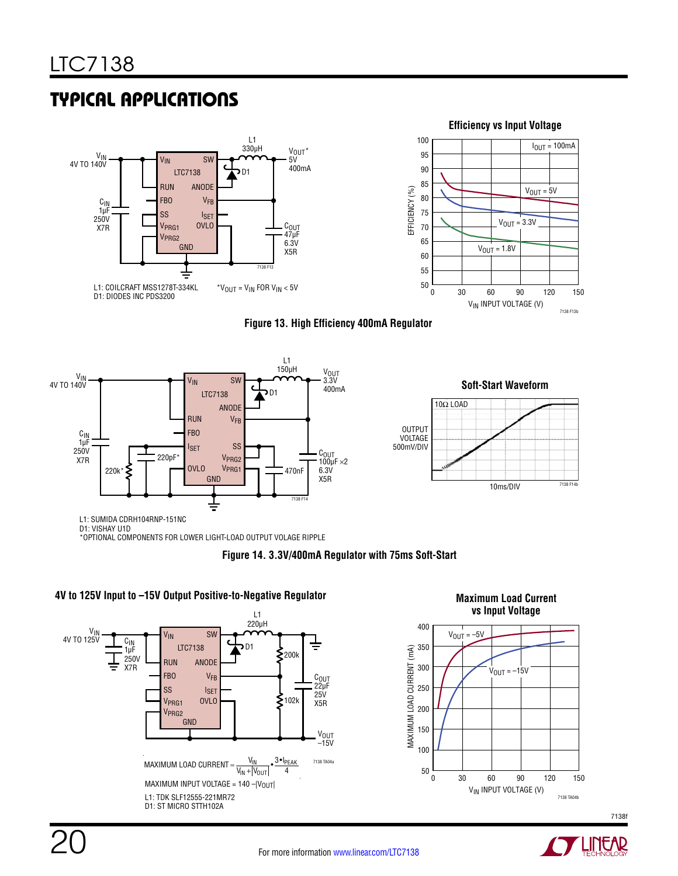# Typical Applications



**Figure 13. High Efficiency 400mA Regulator**





\*OPTIONAL COMPONENTS FOR LOWER LIGHT-LOAD OUTPUT VOLAGE RIPPLE







### V<sub>IN</sub> INPUT VOLTAGE (V)

**4V to 125V Input to –15V Output Positive-to-Negative Regulator**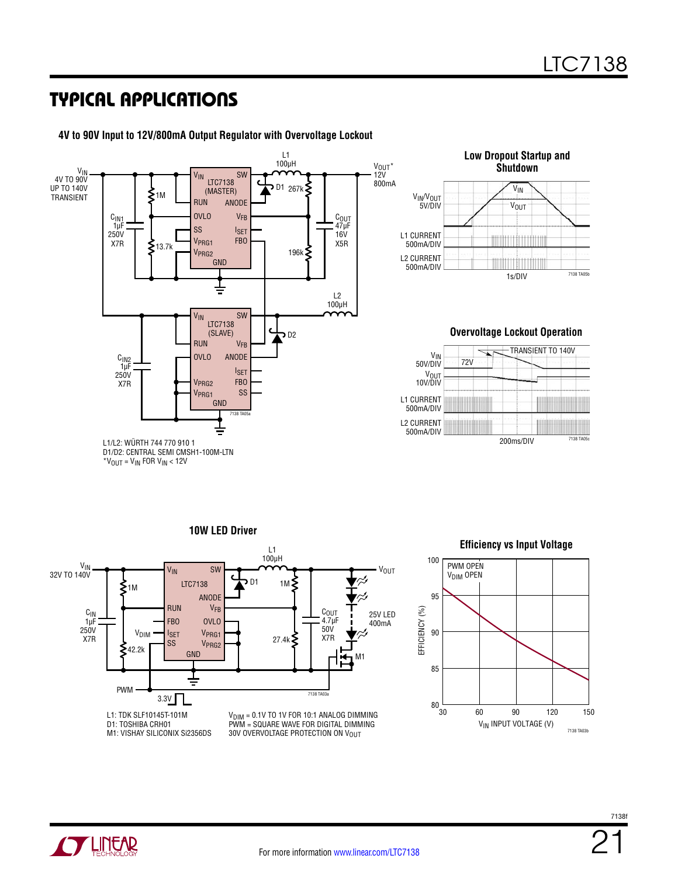### Typical Applications



**4V to 90V Input to 12V/800mA Output Regulator with Overvoltage Lockout**



#### **Overvoltage Lockout Operation**



 $*V_{OUT} = V_{IN}$  FOR  $V_{IN}$  < 12V

**10W LED Driver** L1 100µH V<sub>IN</sub><br>32V TO 140V SW VIN **V**OUT וח כ ξ LTC7138 1M ≨1M ANODE RUN VFB EFFICIENCY (%) EFFICIENCY (%) С<sub>ОUТ</sub><br>4.7µF 25V LED C<sub>IN</sub><br>1µF FBO OVLO 400mA 250V 50V  $V<sub>DIM</sub>$   $V<sub>PRG1</sub>$ X7R 27.4k ξ X7R SS VPRG2 42.2k GND M1 PWM 7138 TA03a 3.3V L1: TDK SLF10145T-101M  $V<sub>DIM</sub> = 0.1V$  TO 1V FOR 10:1 ANALOG DIMMING D1: TOSHIBA CRH01 PWM = SQUARE WAVE FOR DIGITAL DIMMING M1: VISHAY SILICONIX Si2356DS 30V OVERVOLTAGE PROTECTION ON V<sub>OUT</sub>

#### **Efficiency vs Input Voltage**



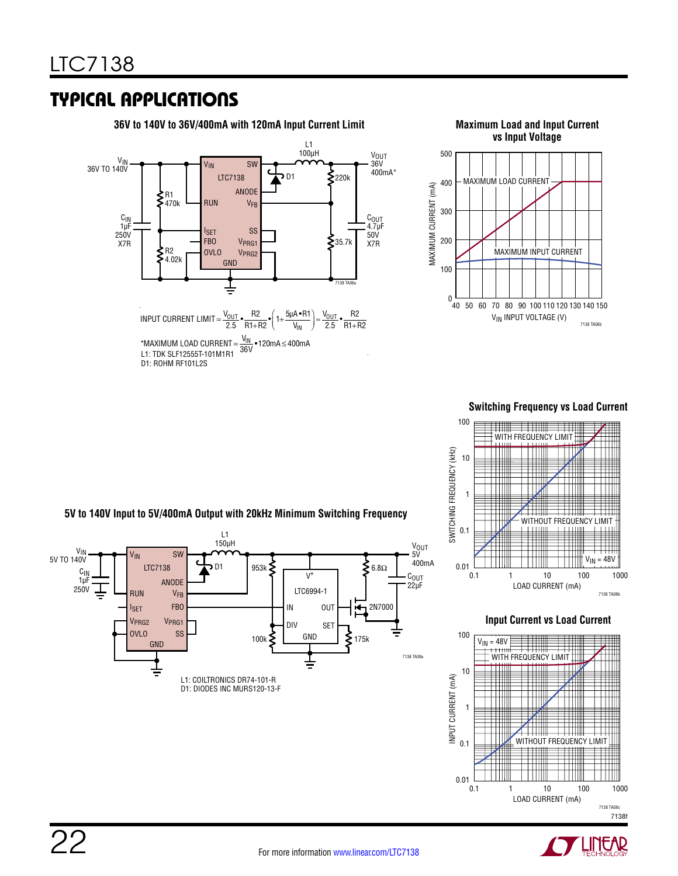### Typical Applications





#### **Switching Frequency vs Load Current**



**Input Current vs Load Current**



V<sub>OUT</sub> V<sub>IN</sub><br>5V TO 140V VIN SW 5V 400mA LTC7138 D1 953k  $\leq$  6.8 $\Omega$ C<sub>IN</sub><br>1µF  $V^+$ C<sub>OUT</sub> ANODE 22µF 250V LTC6994-1 RUN **V<sub>FB</sub>** I<sub>SET</sub> FBO IN 2N7000 OUT i⁄h VPRG2 VPRG1 DIV **SET** OVLO SS  $100k \leq \frac{GND}{175k}$ GND GND 7138 TA08a ╧  $\frac{1}{1}$ 

L1: COILTRONICS DR74-101-R D1: DIODES INC MURS120-13-F

L1 150µH

**5V to 140V Input to 5V/400mA Output with 20kHz Minimum Switching Frequency**

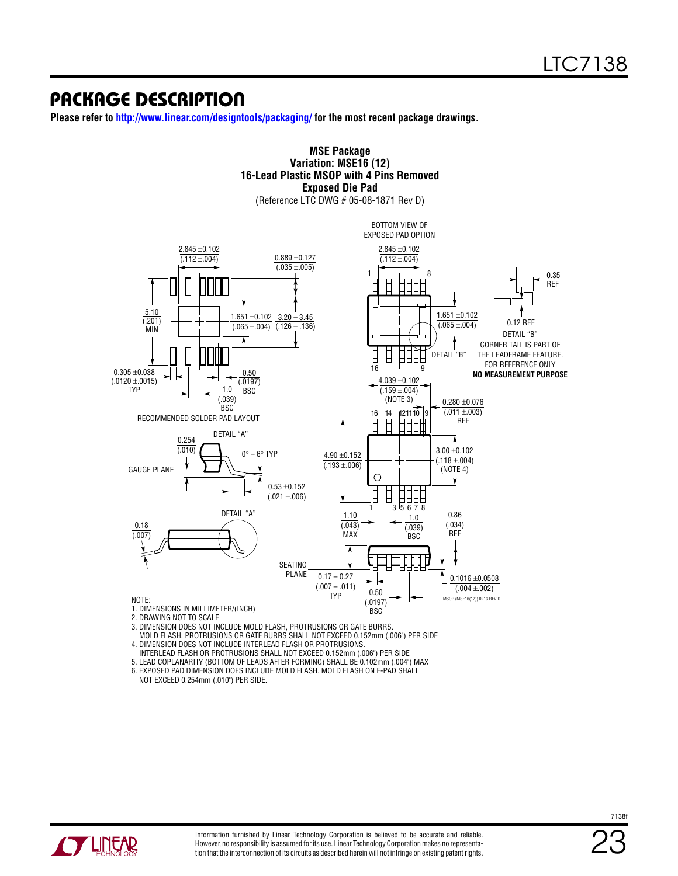### Package Description

**Please refer to http://www.linear.com/designtools/packaging/ for the most recent package drawings.**

#### **MSE Package Variation: MSE16 (12) 16-Lead Plastic MSOP with 4 Pins Removed Exposed Die Pad** (Reference LTC DWG # 05-08-1871 Rev D) BOTTOM VIEW OF EXPOSED PAD OPTION 2.845 ±0.102 2.845 ±0.102  $(.112 \pm .004)$  $0.889 + 0.127$  $(.112 \pm .004)$  $(.035 \pm .005)$ 1 8 0.35 REF 5.10 1.651 ±0.102  $1.651 \pm 0.102$   $3.20 - 3.45$  $(201)$ 0.12 REF  $(.065 \pm .004)$  $(.065 \pm 004)$   $(.126 - .136)$ MIN DETAIL "B" CORNER TAIL IS PART OF ▯ DETAIL "B" THE LEADFRAME FEATURE. Н HHHF FOR REFERENCE ONLY 16 9  $0.305 + 0.038$ 0.50 **NO MEASUREMENT PURPOSE** 4.039 ±0.102  $(0.0120 \pm 0.0015)$  $(0.0197)$ 1.0 TYP BSC  $(.159 \pm .004)$ (.039) (NOTE 3)  $0.280 \pm 0.076$ **BSC**  $(.011 \pm .003)$ 16 14 121110 9 RECOMMENDED SOLDER PAD LAYOUT REF DETAIL "A"  $\frac{0.254}{0.010}$ 3.00 ±0.102  $0^\circ - 6^\circ$  TYP 4.90 ±0.152  $(0.118 \pm 0.004)$  $(0.193 + 0.06)$ (NOTE 4) GAUGE PLANE  $\bigcirc$  $\mathbf{\downarrow}$ ↟  $0.53 \pm 0.152$  $(0.021 \pm 0.006)$ ╝╝  $3^{1}5678$ DETAIL "A" 0.86 1.10 1.0  $(0.043)$ (.034) 0.18  $(039)$ MAX REF (.007) **BSC** SEATING PLANE  $0.17 - 0.27$ 0.1016 ±0.0508  $(0.007 - 0.011)$ (.004 ±.002) 0.50 TYP NOTE: SOP (MSE16(12)) 0213 REV D (.0197) BSC

- 1. DIMENSIONS IN MILLIMETER/(INCH)
- 2. DRAWING NOT TO SCALE
- 3. DIMENSION DOES NOT INCLUDE MOLD FLASH, PROTRUSIONS OR GATE BURRS.

 MOLD FLASH, PROTRUSIONS OR GATE BURRS SHALL NOT EXCEED 0.152mm (.006") PER SIDE 4. DIMENSION DOES NOT INCLUDE INTERLEAD FLASH OR PROTRUSIONS.

- INTERLEAD FLASH OR PROTRUSIONS SHALL NOT EXCEED 0.152mm (.006") PER SIDE
- 5. LEAD COPLANARITY (BOTTOM OF LEADS AFTER FORMING) SHALL BE 0.102mm (.004") MAX
- 6. EXPOSED PAD DIMENSION DOES INCLUDE MOLD FLASH. MOLD FLASH ON E-PAD SHALL NOT EXCEED 0.254mm (.010") PER SIDE.